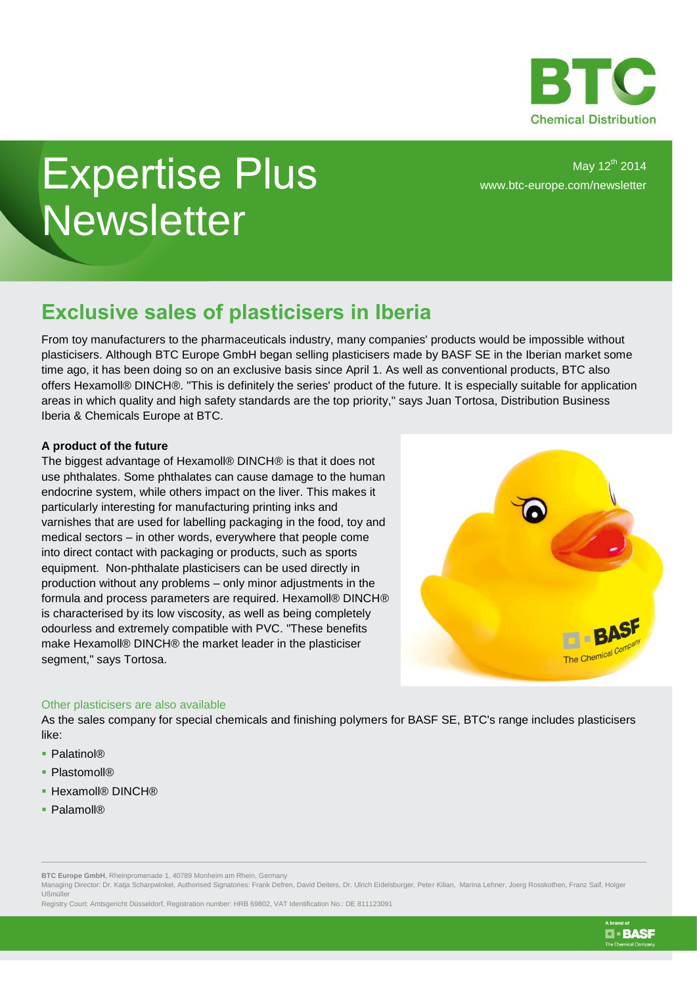

## Expertise Plus **Newsletter**

May 12<sup>th</sup> 2014 www.btc-europe.com/newsletter

## **Exclusive sales of plasticisers in Iberia**

From toy manufacturers to the pharmaceuticals industry, many companies' products would be impossible without plasticisers. Although BTC Europe GmbH began selling plasticisers made by BASF SE in the Iberian market some time ago, it has been doing so on an exclusive basis since April 1. As well as conventional products, BTC also offers Hexamoll® DINCH®. "This is definitely the series' product of the future. It is especially suitable for application areas in which quality and high safety standards are the top priority," says Juan Tortosa, Distribution Business Iberia & Chemicals Europe at BTC.

## **A product of the future**

The biggest advantage of Hexamoll® DINCH® is that it does not use phthalates. Some phthalates can cause damage to the human endocrine system, while others impact on the liver. This makes it particularly interesting for manufacturing printing inks and varnishes that are used for labelling packaging in the food, toy and medical sectors – in other words, everywhere that people come into direct contact with packaging or products, such as sports equipment. Non-phthalate plasticisers can be used directly in production without any problems – only minor adjustments in the formula and process parameters are required. Hexamoll® DINCH® is characterised by its low viscosity, as well as being completely odourless and extremely compatible with PVC. "These benefits make Hexamoll® DINCH® the market leader in the plasticiser segment," says Tortosa.



**O-BASF** 

## Other plasticisers are also available

As the sales company for special chemicals and finishing polymers for BASF SE, BTC's range includes plasticisers like:

- Palatinol®
- Plastomoll®
- Hexamoll® DINCH®
- Palamoll®

Managing Director: Dr. Katja Scharpwinkel, Authorised Signatories: Frank Defren, David Deiters, Dr. Ulrich Eidelsburger, Peter Kilian, Marina Lehner, Joerg Rosskothen, Franz Saif, Holger Ußmüller

Registry Court: Amtsgericht Düsseldorf, Registration number: HRB 69802, VAT Identification No.: DE 811123091

**BTC Europe GmbH**, Rheinpromenade 1, 40789 Monheim am Rhein, Germany